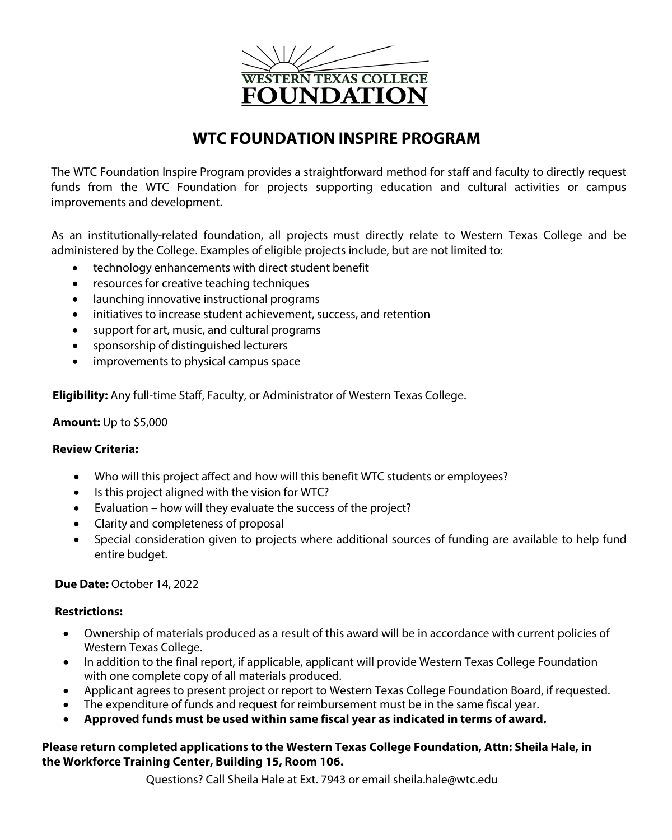

# **WTC FOUNDATION INSPIRE PROGRAM**

The WTC Foundation Inspire Program provides a straightforward method for staff and faculty to directly request funds from the WTC Foundation for projects supporting education and cultural activities or campus improvements and development.

As an institutionally-related foundation, all projects must directly relate to Western Texas College and be administered by the College. Examples of eligible projects include, but are not limited to:

- technology enhancements with direct student benefit
- resources for creative teaching techniques
- launching innovative instructional programs
- initiatives to increase student achievement, success, and retention
- support for art, music, and cultural programs
- sponsorship of distinguished lecturers
- improvements to physical campus space

**Eligibility:** Any full-time Staff, Faculty, or Administrator of Western Texas College.

## **Amount:** Up to \$5,000

# **Review Criteria:**

- Who will this project affect and how will this benefit WTC students or employees?
- Is this project aligned with the vision for WTC?
- Evaluation how will they evaluate the success of the project?
- Clarity and completeness of proposal
- Special consideration given to projects where additional sources of funding are available to help fund entire budget.

# **Due Date:** October 14, 2022

## **Restrictions:**

- Ownership of materials produced as a result of this award will be in accordance with current policies of Western Texas College.
- In addition to the final report, if applicable, applicant will provide Western Texas College Foundation with one complete copy of all materials produced.
- Applicant agrees to present project or report to Western Texas College Foundation Board, if requested.
- The expenditure of funds and request for reimbursement must be in the same fiscal year.
- **Approved funds must be used within same fiscal year as indicated in terms of award.**

## **Please return completed applications to the Western Texas College Foundation, Attn: Sheila Hale, in the Workforce Training Center, Building 15, Room 106.**

Questions? Call Sheila Hale at Ext. 7943 or email sheila.hale@wtc.edu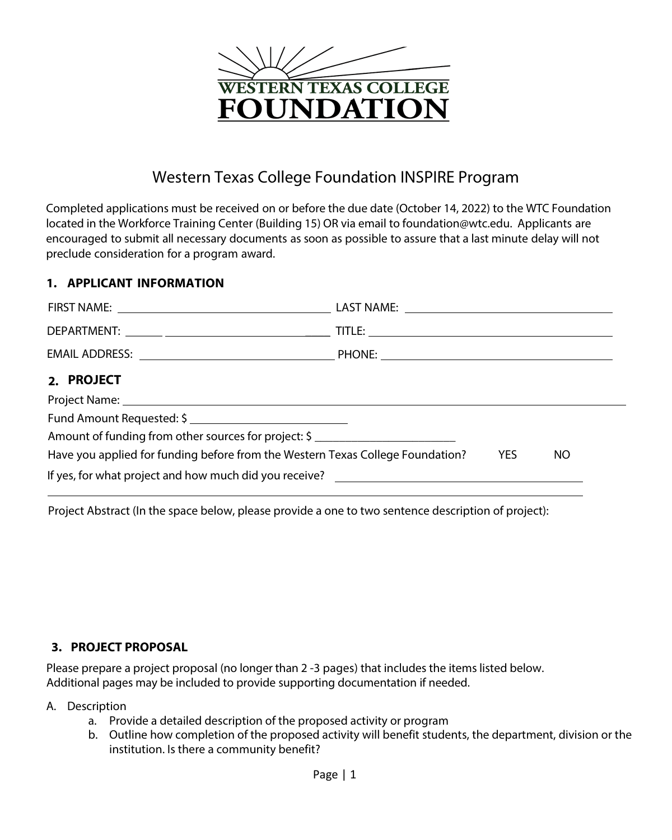

# Western Texas College Foundation INSPIRE Program

Completed applications must be received on or before the due date (October 14, 2022) to the WTC Foundation located in the Workforce Training Center (Building 15) OR via email to foundation@wtc.edu. Applicants are encouraged to submit all necessary documents as soon as possible to assure that a last minute delay will not preclude consideration for a program award.

# **1. APPLICANT INFORMATION**

| 2. PROJECT                                                                     |            |     |
|--------------------------------------------------------------------------------|------------|-----|
|                                                                                |            |     |
| Fund Amount Requested: \$                                                      |            |     |
| Amount of funding from other sources for project: \$                           |            |     |
| Have you applied for funding before from the Western Texas College Foundation? | <b>YES</b> | NO. |
|                                                                                |            |     |

Project Abstract (In the space below, please provide a one to two sentence description of project):

# **3. PROJECT PROPOSAL**

Please prepare a project proposal (no longer than 2-3 pages) that includes the items listed below. Additional pages may be included to provide supporting documentation if needed.

## A. Description

- a. Provide a detailed description of the proposed activity or program
- b. Outline how completion of the proposed activity will benefit students, the department, division or the institution. Is there a community benefit?